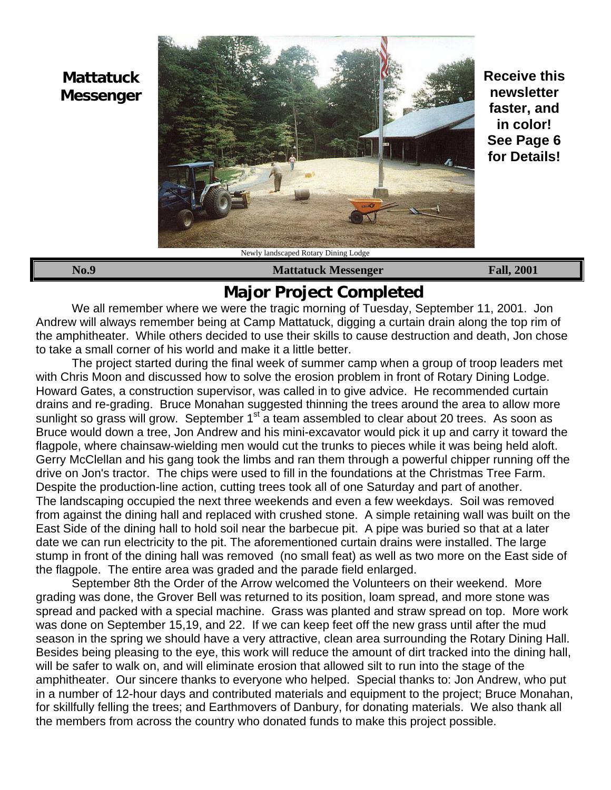# **Mattatuck Messenger**



**Receive this newsletter faster, and in color! See Page 6 for Details!**

**No.9 Mattatuck Messenger Fall, 2001**

# **Major Project Completed**

We all remember where we were the tragic morning of Tuesday, September 11, 2001. Jon Andrew will always remember being at Camp Mattatuck, digging a curtain drain along the top rim of the amphitheater. While others decided to use their skills to cause destruction and death, Jon chose to take a small corner of his world and make it a little better.

The project started during the final week of summer camp when a group of troop leaders met with Chris Moon and discussed how to solve the erosion problem in front of Rotary Dining Lodge. Howard Gates, a construction supervisor, was called in to give advice. He recommended curtain drains and re-grading. Bruce Monahan suggested thinning the trees around the area to allow more sunlight so grass will grow. September 1<sup>st</sup> a team assembled to clear about 20 trees. As soon as Bruce would down a tree, Jon Andrew and his mini-excavator would pick it up and carry it toward the flagpole, where chainsaw-wielding men would cut the trunks to pieces while it was being held aloft. Gerry McClellan and his gang took the limbs and ran them through a powerful chipper running off the drive on Jon's tractor. The chips were used to fill in the foundations at the Christmas Tree Farm. Despite the production-line action, cutting trees took all of one Saturday and part of another. The landscaping occupied the next three weekends and even a few weekdays. Soil was removed from against the dining hall and replaced with crushed stone. A simple retaining wall was built on the East Side of the dining hall to hold soil near the barbecue pit. A pipe was buried so that at a later date we can run electricity to the pit. The aforementioned curtain drains were installed. The large stump in front of the dining hall was removed (no small feat) as well as two more on the East side of the flagpole. The entire area was graded and the parade field enlarged.

September 8th the Order of the Arrow welcomed the Volunteers on their weekend. More grading was done, the Grover Bell was returned to its position, loam spread, and more stone was spread and packed with a special machine. Grass was planted and straw spread on top. More work was done on September 15,19, and 22. If we can keep feet off the new grass until after the mud season in the spring we should have a very attractive, clean area surrounding the Rotary Dining Hall. Besides being pleasing to the eye, this work will reduce the amount of dirt tracked into the dining hall, will be safer to walk on, and will eliminate erosion that allowed silt to run into the stage of the amphitheater. Our sincere thanks to everyone who helped. Special thanks to: Jon Andrew, who put in a number of 12-hour days and contributed materials and equipment to the project; Bruce Monahan, for skillfully felling the trees; and Earthmovers of Danbury, for donating materials. We also thank all the members from across the country who donated funds to make this project possible.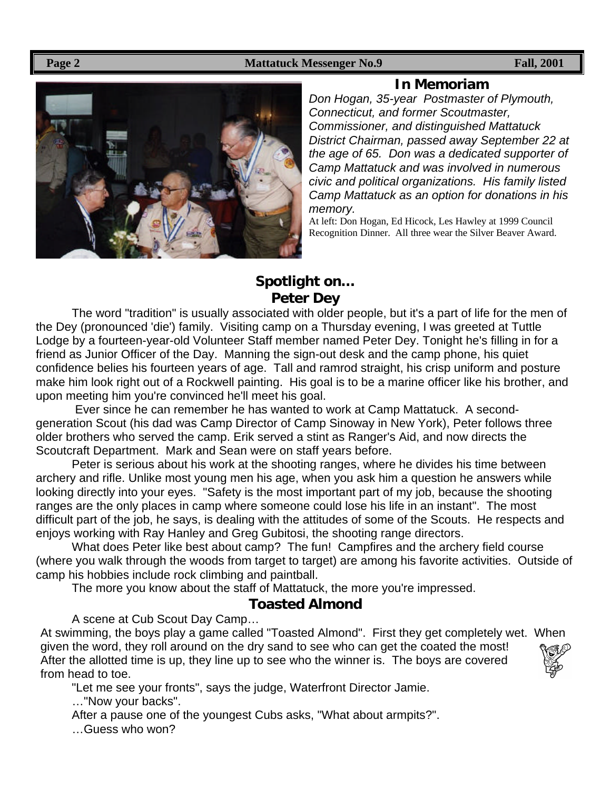#### **Page 2** Fall, 2001



### **In Memoriam**

*Don Hogan, 35-year Postmaster of Plymouth, Connecticut, and former Scoutmaster, Commissioner, and distinguished Mattatuck District Chairman, passed away September 22 at the age of 65. Don was a dedicated supporter of Camp Mattatuck and was involved in numerous civic and political organizations. His family listed Camp Mattatuck as an option for donations in his memory.*

At left: Don Hogan, Ed Hicock, Les Hawley at 1999 Council Recognition Dinner. All three wear the Silver Beaver Award.

### **Spotlight on… Peter Dey**

The word "tradition" is usually associated with older people, but it's a part of life for the men of the Dey (pronounced 'die') family. Visiting camp on a Thursday evening, I was greeted at Tuttle Lodge by a fourteen-year-old Volunteer Staff member named Peter Dey. Tonight he's filling in for a friend as Junior Officer of the Day. Manning the sign-out desk and the camp phone, his quiet confidence belies his fourteen years of age. Tall and ramrod straight, his crisp uniform and posture make him look right out of a Rockwell painting. His goal is to be a marine officer like his brother, and upon meeting him you're convinced he'll meet his goal.

 Ever since he can remember he has wanted to work at Camp Mattatuck. A secondgeneration Scout (his dad was Camp Director of Camp Sinoway in New York), Peter follows three older brothers who served the camp. Erik served a stint as Ranger's Aid, and now directs the Scoutcraft Department. Mark and Sean were on staff years before.

Peter is serious about his work at the shooting ranges, where he divides his time between archery and rifle. Unlike most young men his age, when you ask him a question he answers while looking directly into your eyes. "Safety is the most important part of my job, because the shooting ranges are the only places in camp where someone could lose his life in an instant". The most difficult part of the job, he says, is dealing with the attitudes of some of the Scouts. He respects and enjoys working with Ray Hanley and Greg Gubitosi, the shooting range directors.

What does Peter like best about camp? The fun! Campfires and the archery field course (where you walk through the woods from target to target) are among his favorite activities. Outside of camp his hobbies include rock climbing and paintball.

The more you know about the staff of Mattatuck, the more you're impressed.

### **Toasted Almond**

A scene at Cub Scout Day Camp…

At swimming, the boys play a game called "Toasted Almond". First they get completely wet. When given the word, they roll around on the dry sand to see who can get the coated the most! After the allotted time is up, they line up to see who the winner is. The boys are covered from head to toe.



"Let me see your fronts", says the judge, Waterfront Director Jamie.

…"Now your backs".

After a pause one of the youngest Cubs asks, "What about armpits?".

…Guess who won?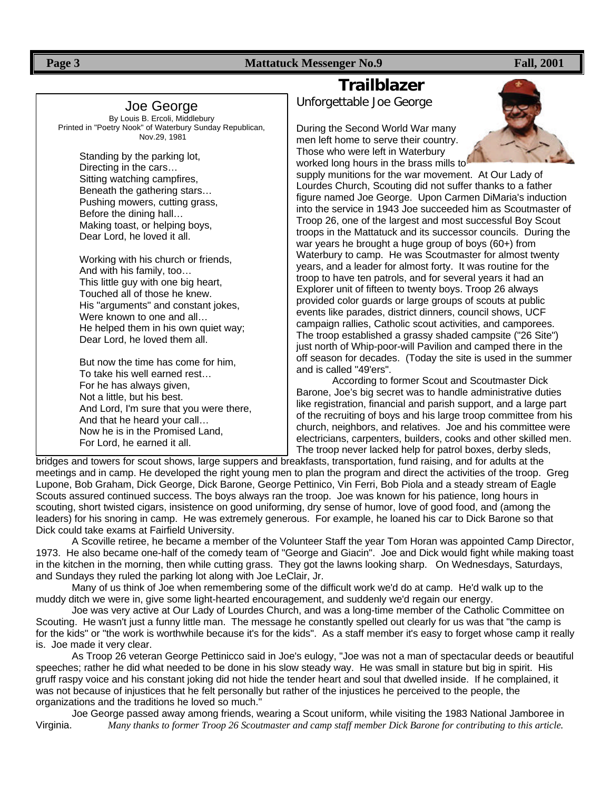**Page 3** Fall, 2001

Joe George By Louis B. Ercoli, Middlebury Printed in "Poetry Nook" of Waterbury Sunday Republican, Nov.29, 1981

> Standing by the parking lot, Directing in the cars… Sitting watching campfires, Beneath the gathering stars… Pushing mowers, cutting grass, Before the dining hall… Making toast, or helping boys, Dear Lord, he loved it all.

Working with his church or friends, And with his family, too… This little guy with one big heart, Touched all of those he knew. His "arguments" and constant jokes, Were known to one and all… He helped them in his own quiet way; Dear Lord, he loved them all.

But now the time has come for him, To take his well earned rest… For he has always given, Not a little, but his best. And Lord, I'm sure that you were there, And that he heard your call… Now he is in the Promised Land, For Lord, he earned it all.

## **Trailblazer**

Unforgettable Joe George

During the Second World War many men left home to serve their country. Those who were left in Waterbury worked long hours in the brass mills to



supply munitions for the war movement. At Our Lady of Lourdes Church, Scouting did not suffer thanks to a father figure named Joe George. Upon Carmen DiMaria's induction into the service in 1943 Joe succeeded him as Scoutmaster of Troop 26, one of the largest and most successful Boy Scout troops in the Mattatuck and its successor councils. During the war years he brought a huge group of boys (60+) from Waterbury to camp. He was Scoutmaster for almost twenty years, and a leader for almost forty. It was routine for the troop to have ten patrols, and for several years it had an Explorer unit of fifteen to twenty boys. Troop 26 always provided color guards or large groups of scouts at public events like parades, district dinners, council shows, UCF campaign rallies, Catholic scout activities, and camporees. The troop established a grassy shaded campsite ("26 Site") just north of Whip-poor-will Pavilion and camped there in the off season for decades. (Today the site is used in the summer and is called "49'ers".

According to former Scout and Scoutmaster Dick Barone, Joe's big secret was to handle administrative duties like registration, financial and parish support, and a large part of the recruiting of boys and his large troop committee from his church, neighbors, and relatives. Joe and his committee were electricians, carpenters, builders, cooks and other skilled men. The troop never lacked help for patrol boxes, derby sleds,

bridges and towers for scout shows, large suppers and breakfasts, transportation, fund raising, and for adults at the meetings and in camp. He developed the right young men to plan the program and direct the activities of the troop. Greg Lupone, Bob Graham, Dick George, Dick Barone, George Pettinico, Vin Ferri, Bob Piola and a steady stream of Eagle Scouts assured continued success. The boys always ran the troop. Joe was known for his patience, long hours in scouting, short twisted cigars, insistence on good uniforming, dry sense of humor, love of good food, and (among the leaders) for his snoring in camp. He was extremely generous. For example, he loaned his car to Dick Barone so that Dick could take exams at Fairfield University.

A Scoville retiree, he became a member of the Volunteer Staff the year Tom Horan was appointed Camp Director, 1973. He also became one-half of the comedy team of "George and Giacin". Joe and Dick would fight while making toast in the kitchen in the morning, then while cutting grass. They got the lawns looking sharp. On Wednesdays, Saturdays, and Sundays they ruled the parking lot along with Joe LeClair, Jr.

Many of us think of Joe when remembering some of the difficult work we'd do at camp. He'd walk up to the muddy ditch we were in, give some light-hearted encouragement, and suddenly we'd regain our energy.

Joe was very active at Our Lady of Lourdes Church, and was a long-time member of the Catholic Committee on Scouting. He wasn't just a funny little man. The message he constantly spelled out clearly for us was that "the camp is for the kids" or "the work is worthwhile because it's for the kids". As a staff member it's easy to forget whose camp it really is. Joe made it very clear.

As Troop 26 veteran George Pettinicco said in Joe's eulogy, "Joe was not a man of spectacular deeds or beautiful speeches; rather he did what needed to be done in his slow steady way. He was small in stature but big in spirit. His gruff raspy voice and his constant joking did not hide the tender heart and soul that dwelled inside. If he complained, it was not because of injustices that he felt personally but rather of the injustices he perceived to the people, the organizations and the traditions he loved so much."

Joe George passed away among friends, wearing a Scout uniform, while visiting the 1983 National Jamboree in Virginia. *Many thanks to former Troop 26 Scoutmaster and camp staff member Dick Barone for contributing to this article.*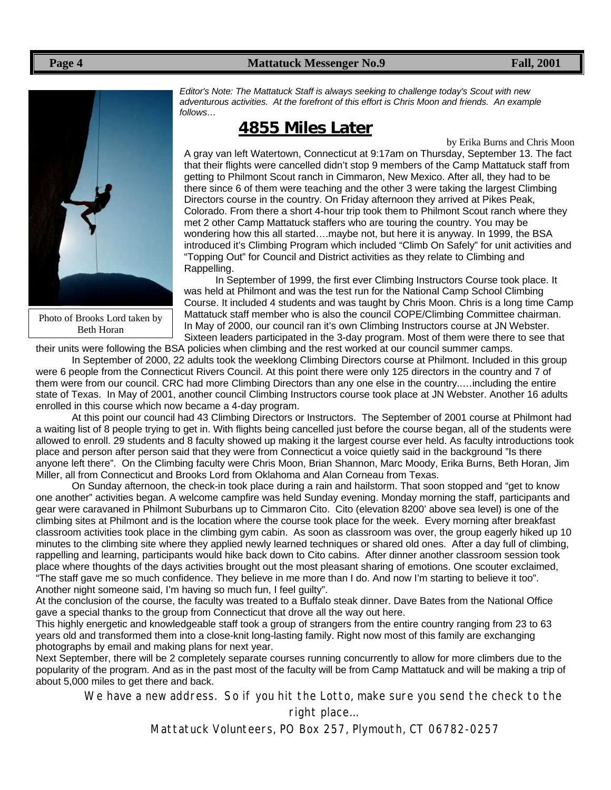#### Page 4 **Mattatuck Messenger No.9 Fall, 2001**



Photo of Brooks Lord taken by Beth Horan

*Editor's Note: The Mattatuck Staff is always seeking to challenge today's Scout with new adventurous activities. At the forefront of this effort is Chris Moon and friends. An example follows…*

### **4855 Miles Later**

by Erika Burns and Chris Moon A gray van left Watertown, Connecticut at 9:17am on Thursday, September 13. The fact that their flights were cancelled didn't stop 9 members of the Camp Mattatuck staff from getting to Philmont Scout ranch in Cimmaron, New Mexico. After all, they had to be there since 6 of them were teaching and the other 3 were taking the largest Climbing Directors course in the country. On Friday afternoon they arrived at Pikes Peak, Colorado. From there a short 4-hour trip took them to Philmont Scout ranch where they met 2 other Camp Mattatuck staffers who are touring the country. You may be wondering how this all started….maybe not, but here it is anyway. In 1999, the BSA introduced it's Climbing Program which included "Climb On Safely" for unit activities and "Topping Out" for Council and District activities as they relate to Climbing and Rappelling.

In September of 1999, the first ever Climbing Instructors Course took place. It was held at Philmont and was the test run for the National Camp School Climbing Course. It included 4 students and was taught by Chris Moon. Chris is a long time Camp Mattatuck staff member who is also the council COPE/Climbing Committee chairman. In May of 2000, our council ran it's own Climbing Instructors course at JN Webster. Sixteen leaders participated in the 3-day program. Most of them were there to see that

their units were following the BSA policies when climbing and the rest worked at our council summer camps.

In September of 2000, 22 adults took the weeklong Climbing Directors course at Philmont. Included in this group were 6 people from the Connecticut Rivers Council. At this point there were only 125 directors in the country and 7 of them were from our council. CRC had more Climbing Directors than any one else in the country..…including the entire state of Texas. In May of 2001, another council Climbing Instructors course took place at JN Webster. Another 16 adults enrolled in this course which now became a 4-day program.

At this point our council had 43 Climbing Directors or Instructors. The September of 2001 course at Philmont had a waiting list of 8 people trying to get in. With flights being cancelled just before the course began, all of the students were allowed to enroll. 29 students and 8 faculty showed up making it the largest course ever held. As faculty introductions took place and person after person said that they were from Connecticut a voice quietly said in the background "Is there anyone left there". On the Climbing faculty were Chris Moon, Brian Shannon, Marc Moody, Erika Burns, Beth Horan, Jim Miller, all from Connecticut and Brooks Lord from Oklahoma and Alan Corneau from Texas.

On Sunday afternoon, the check-in took place during a rain and hailstorm. That soon stopped and "get to know one another" activities began. A welcome campfire was held Sunday evening. Monday morning the staff, participants and gear were caravaned in Philmont Suburbans up to Cimmaron Cito. Cito (elevation 8200' above sea level) is one of the climbing sites at Philmont and is the location where the course took place for the week. Every morning after breakfast classroom activities took place in the climbing gym cabin. As soon as classroom was over, the group eagerly hiked up 10 minutes to the climbing site where they applied newly learned techniques or shared old ones. After a day full of climbing, rappelling and learning, participants would hike back down to Cito cabins. After dinner another classroom session took place where thoughts of the days activities brought out the most pleasant sharing of emotions. One scouter exclaimed, "The staff gave me so much confidence. They believe in me more than I do. And now I'm starting to believe it too". Another night someone said, I'm having so much fun, I feel guilty".

At the conclusion of the course, the faculty was treated to a Buffalo steak dinner. Dave Bates from the National Office gave a special thanks to the group from Connecticut that drove all the way out here.

This highly energetic and knowledgeable staff took a group of strangers from the entire country ranging from 23 to 63 years old and transformed them into a close-knit long-lasting family. Right now most of this family are exchanging photographs by email and making plans for next year.

Next September, there will be 2 completely separate courses running concurrently to allow for more climbers due to the popularity of the program. And as in the past most of the faculty will be from Camp Mattatuck and will be making a trip of about 5,000 miles to get there and back.

We have a new address. So if you hit the Lotto, make sure you send the check to the

right place…

Mattatuck Volunteers, PO Box 257, Plymouth, CT 06782-0257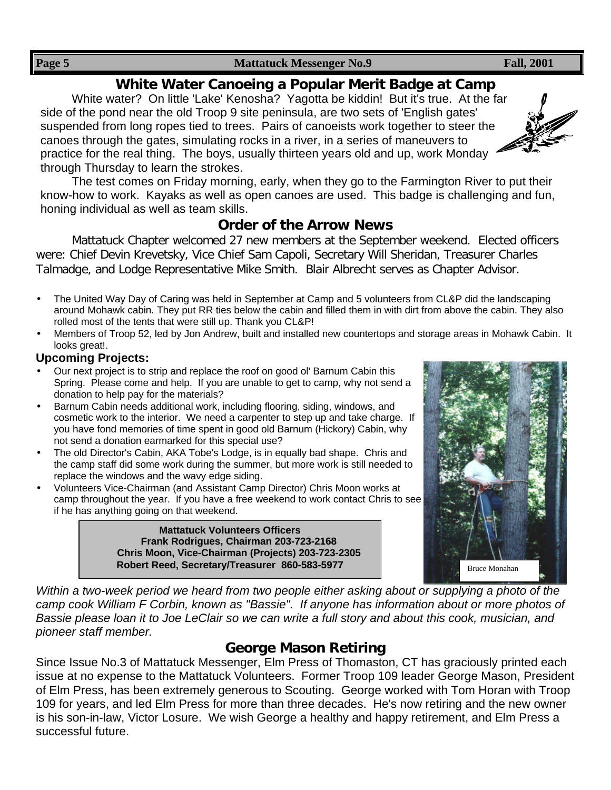### **White Water Canoeing a Popular Merit Badge at Camp**

White water? On little 'Lake' Kenosha? Yagotta be kiddin! But it's true. At the far side of the pond near the old Troop 9 site peninsula, are two sets of 'English gates' suspended from long ropes tied to trees. Pairs of canoeists work together to steer the canoes through the gates, simulating rocks in a river, in a series of maneuvers to practice for the real thing. The boys, usually thirteen years old and up, work Monday through Thursday to learn the strokes.



### **Order of the Arrow News**

Mattatuck Chapter welcomed 27 new members at the September weekend. Elected officers were: Chief Devin Krevetsky, Vice Chief Sam Capoli, Secretary Will Sheridan, Treasurer Charles Talmadge, and Lodge Representative Mike Smith. Blair Albrecht serves as Chapter Advisor.

- The United Way Day of Caring was held in September at Camp and 5 volunteers from CL&P did the landscaping around Mohawk cabin. They put RR ties below the cabin and filled them in with dirt from above the cabin. They also rolled most of the tents that were still up. Thank you CL&P!
- Members of Troop 52, led by Jon Andrew, built and installed new countertops and storage areas in Mohawk Cabin. It looks great!.

### **Upcoming Projects:**

- Our next project is to strip and replace the roof on good ol' Barnum Cabin this Spring. Please come and help. If you are unable to get to camp, why not send a donation to help pay for the materials?
- Barnum Cabin needs additional work, including flooring, siding, windows, and cosmetic work to the interior. We need a carpenter to step up and take charge. If you have fond memories of time spent in good old Barnum (Hickory) Cabin, why not send a donation earmarked for this special use?
- The old Director's Cabin, AKA Tobe's Lodge, is in equally bad shape. Chris and the camp staff did some work during the summer, but more work is still needed to replace the windows and the wavy edge siding.
- Volunteers Vice-Chairman (and Assistant Camp Director) Chris Moon works at camp throughout the year. If you have a free weekend to work contact Chris to see if he has anything going on that weekend.

**Mattatuck Volunteers Officers Frank Rodrigues, Chairman 203-723-2168 Chris Moon, Vice-Chairman (Projects) 203-723-2305 Robert Reed, Secretary/Treasurer 860-583-5977**



*Within a two-week period we heard from two people either asking about or supplying a photo of the camp cook William F Corbin, known as "Bassie". If anyone has information about or more photos of Bassie please loan it to Joe LeClair so we can write a full story and about this cook, musician, and pioneer staff member.*

### **George Mason Retiring**

Since Issue No.3 of Mattatuck Messenger, Elm Press of Thomaston, CT has graciously printed each issue at no expense to the Mattatuck Volunteers. Former Troop 109 leader George Mason, President of Elm Press, has been extremely generous to Scouting. George worked with Tom Horan with Troop 109 for years, and led Elm Press for more than three decades. He's now retiring and the new owner is his son-in-law, Victor Losure. We wish George a healthy and happy retirement, and Elm Press a successful future.